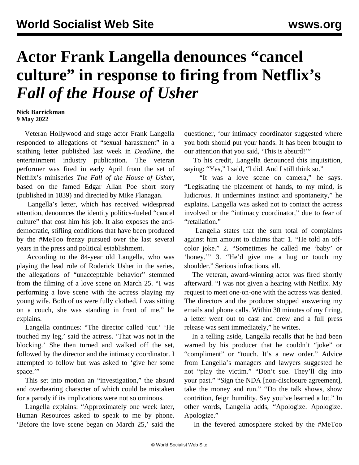## **Actor Frank Langella denounces "cancel culture" in response to firing from Netflix's** *Fall of the House of Usher*

## **Nick Barrickman 9 May 2022**

 Veteran Hollywood and stage actor Frank Langella responded to allegations of "sexual harassment" in a scathing letter published last week in *Deadline*, the entertainment industry publication. The veteran performer was fired in early April from the set of Netflix's miniseries *The Fall of the House of Usher*, based on the famed Edgar Allan Poe short story (published in 1839) and directed by Mike Flanagan.

 Langella's letter, which has received widespread attention, denounces the identity politics-fueled "cancel culture" [that cost him his job.](/en/articles/2022/04/20/lang-a20.html) It also exposes the antidemocratic, stifling conditions that have been produced by the #MeToo frenzy pursued over the last several years in the press and political establishment.

 According to the 84-year old Langella, who was playing the lead role of Roderick Usher in the series, the allegations of "unacceptable behavior" stemmed from the filming of a love scene on March 25. "I was performing a love scene with the actress playing my young wife. Both of us were fully clothed. I was sitting on a couch, she was standing in front of me," he explains.

 Langella continues: "The director called 'cut.' 'He touched my leg,' said the actress. 'That was not in the blocking.' She then turned and walked off the set, followed by the director and the intimacy coordinator. I attempted to follow but was asked to 'give her some space."

 This set into motion an "investigation," the absurd and overbearing character of which could be mistaken for a parody if its implications were not so ominous.

 Langella explains: "Approximately one week later, Human Resources asked to speak to me by phone. 'Before the love scene began on March 25,' said the questioner, 'our intimacy coordinator suggested where you both should put your hands. It has been brought to our attention that you said, 'This is absurd!'"

 To his credit, Langella denounced this inquisition, saying: "Yes," I said, "I did. And I still think so."

 "It was a love scene on camera," he says. "Legislating the placement of hands, to my mind, is ludicrous. It undermines instinct and spontaneity," he explains. Langella was asked not to contact the actress involved or the "intimacy coordinator," due to fear of "retaliation."

 Langella states that the sum total of complaints against him amount to claims that: 1. "He told an offcolor joke." 2. "Sometimes he called me 'baby' or 'honey.'" 3. "He'd give me a hug or touch my shoulder." Serious infractions, all.

 The veteran, award-winning actor was fired shortly afterward. "I was not given a hearing with Netflix. My request to meet one-on-one with the actress was denied. The directors and the producer stopped answering my emails and phone calls. Within 30 minutes of my firing, a letter went out to cast and crew and a full press release was sent immediately," he writes.

 In a telling aside, Langella recalls that he had been warned by his producer that he couldn't "joke" or "compliment" or "touch. It's a new order." Advice from Langella's managers and lawyers suggested he not "play the victim." "Don't sue. They'll dig into your past." "Sign the NDA [non-disclosure agreement], take the money and run." "Do the talk shows, show contrition, feign humility. Say you've learned a lot." In other words, Langella adds, "Apologize. Apologize. Apologize."

In the fevered atmosphere stoked by the #MeToo